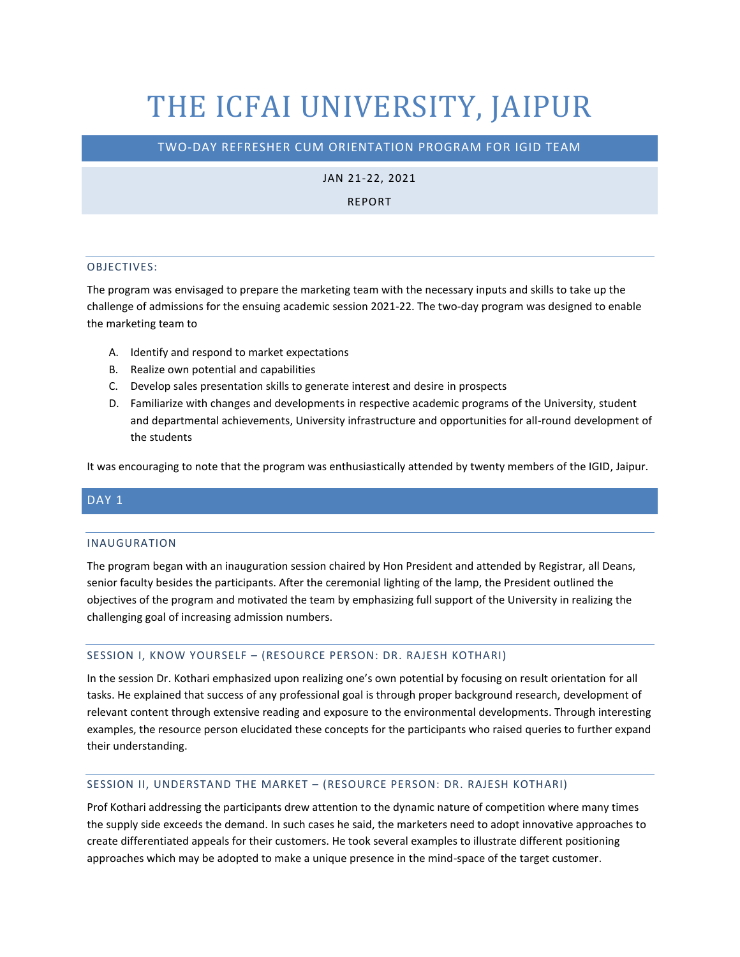# THE ICFAI UNIVERSITY, JAIPUR

TWO-DAY REFRESHER CUM ORIENTATION PROGRAM FOR IGID TEAM

JAN 21-22, 2021

REPORT

### OBJECTIVES:

The program was envisaged to prepare the marketing team with the necessary inputs and skills to take up the challenge of admissions for the ensuing academic session 2021-22. The two-day program was designed to enable the marketing team to

- A. Identify and respond to market expectations
- B. Realize own potential and capabilities
- C. Develop sales presentation skills to generate interest and desire in prospects
- D. Familiarize with changes and developments in respective academic programs of the University, student and departmental achievements, University infrastructure and opportunities for all-round development of the students

It was encouraging to note that the program was enthusiastically attended by twenty members of the IGID, Jaipur.

## DAY<sub>1</sub>

#### INAUGURATION

The program began with an inauguration session chaired by Hon President and attended by Registrar, all Deans, senior faculty besides the participants. After the ceremonial lighting of the lamp, the President outlined the objectives of the program and motivated the team by emphasizing full support of the University in realizing the challenging goal of increasing admission numbers.

#### SESSION I, KNOW YOURSELF – (RESOURCE PERSON: DR. RAJESH KOTHARI)

In the session Dr. Kothari emphasized upon realizing one's own potential by focusing on result orientation for all tasks. He explained that success of any professional goal is through proper background research, development of relevant content through extensive reading and exposure to the environmental developments. Through interesting examples, the resource person elucidated these concepts for the participants who raised queries to further expand their understanding.

#### SESSION II, UNDERSTAND THE MARKET – (RESOURCE PERSON: DR. RAJESH KOTHARI)

Prof Kothari addressing the participants drew attention to the dynamic nature of competition where many times the supply side exceeds the demand. In such cases he said, the marketers need to adopt innovative approaches to create differentiated appeals for their customers. He took several examples to illustrate different positioning approaches which may be adopted to make a unique presence in the mind-space of the target customer.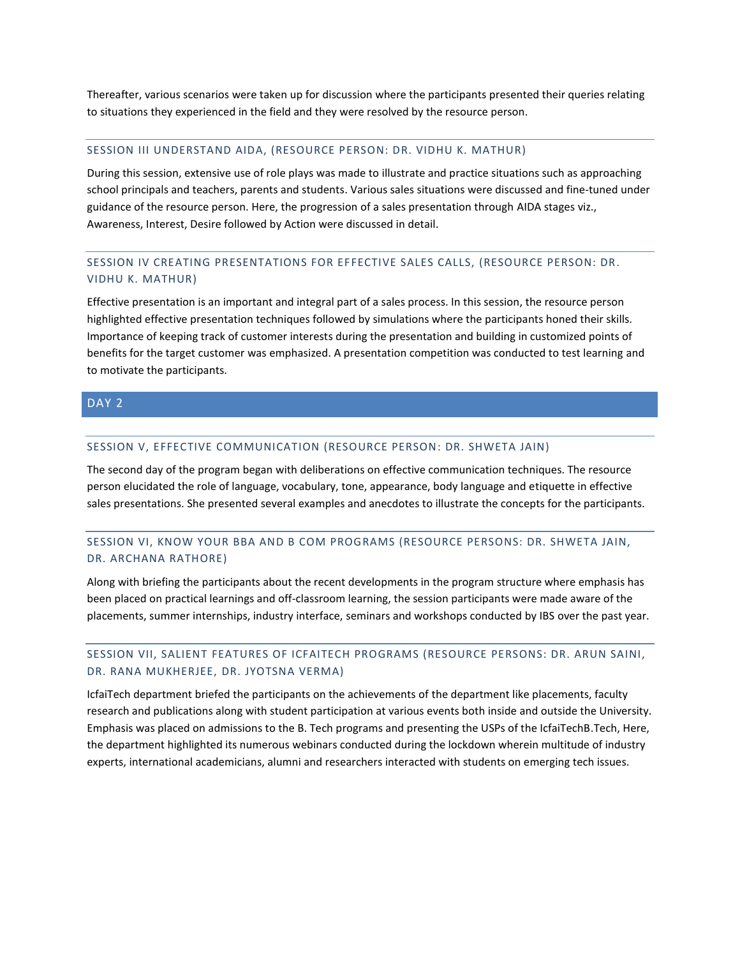Thereafter, various scenarios were taken up for discussion where the participants presented their queries relating to situations they experienced in the field and they were resolved by the resource person.

#### SESSION III UNDERSTAND AIDA, (RESOURCE PERSON: DR. VIDHU K. MATHUR)

During this session, extensive use of role plays was made to illustrate and practice situations such as approaching school principals and teachers, parents and students. Various sales situations were discussed and fine-tuned under guidance of the resource person. Here, the progression of a sales presentation through AIDA stages viz., Awareness, Interest, Desire followed by Action were discussed in detail.

## SESSION IV CREATING PRESENTATIONS FOR EFFECTIVE SALES CALLS, (RESOURCE PERSON: DR. VIDHU K. MATHUR)

Effective presentation is an important and integral part of a sales process. In this session, the resource person highlighted effective presentation techniques followed by simulations where the participants honed their skills. Importance of keeping track of customer interests during the presentation and building in customized points of benefits for the target customer was emphasized. A presentation competition was conducted to test learning and to motivate the participants.

## DAY<sub>2</sub>

#### SESSION V, EFFECTIVE COMMUNICATION (RESOURCE PERSON: DR. SHWETA JAIN)

The second day of the program began with deliberations on effective communication techniques. The resource person elucidated the role of language, vocabulary, tone, appearance, body language and etiquette in effective sales presentations. She presented several examples and anecdotes to illustrate the concepts for the participants.

## SESSION VI, KNOW YOUR BBA AND B COM PROGRAMS (RESOURCE PERSONS: DR. SHWETA JAIN, DR. ARCHANA RATHORE)

Along with briefing the participants about the recent developments in the program structure where emphasis has been placed on practical learnings and off-classroom learning, the session participants were made aware of the placements, summer internships, industry interface, seminars and workshops conducted by IBS over the past year.

## SESSION VII, SALIENT FEATURES OF ICFAITECH PROGRAMS (RESOURCE PERSONS: DR. ARUN SAINI, DR. RANA MUKHERJEE, DR. JYOTSNA VERMA)

IcfaiTech department briefed the participants on the achievements of the department like placements, faculty research and publications along with student participation at various events both inside and outside the University. Emphasis was placed on admissions to the B. Tech programs and presenting the USPs of the IcfaiTechB.Tech, Here, the department highlighted its numerous webinars conducted during the lockdown wherein multitude of industry experts, international academicians, alumni and researchers interacted with students on emerging tech issues.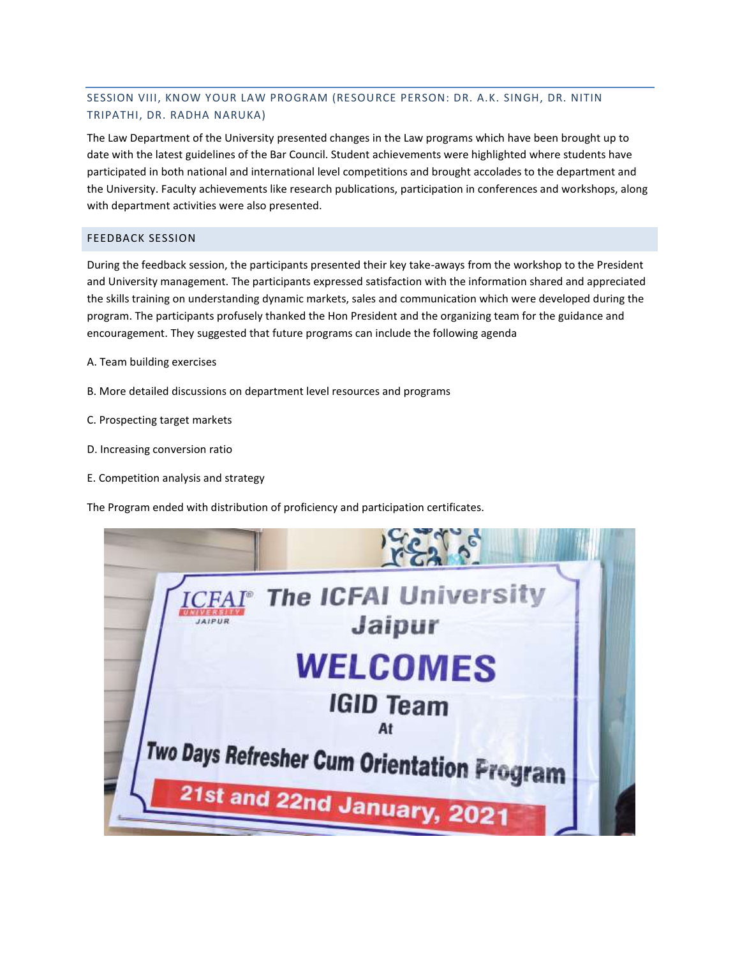# SESSION VIII, KNOW YOUR LAW PROGRAM (RESOURCE PERSON: DR. A.K. SINGH, DR. NITIN TRIPATHI, DR. RADHA NARUKA)

The Law Department of the University presented changes in the Law programs which have been brought up to date with the latest guidelines of the Bar Council. Student achievements were highlighted where students have participated in both national and international level competitions and brought accolades to the department and the University. Faculty achievements like research publications, participation in conferences and workshops, along with department activities were also presented.

## FEEDBACK SESSION

During the feedback session, the participants presented their key take-aways from the workshop to the President and University management. The participants expressed satisfaction with the information shared and appreciated the skills training on understanding dynamic markets, sales and communication which were developed during the program. The participants profusely thanked the Hon President and the organizing team for the guidance and encouragement. They suggested that future programs can include the following agenda

- A. Team building exercises
- B. More detailed discussions on department level resources and programs
- C. Prospecting target markets
- D. Increasing conversion ratio
- E. Competition analysis and strategy

The Program ended with distribution of proficiency and participation certificates.

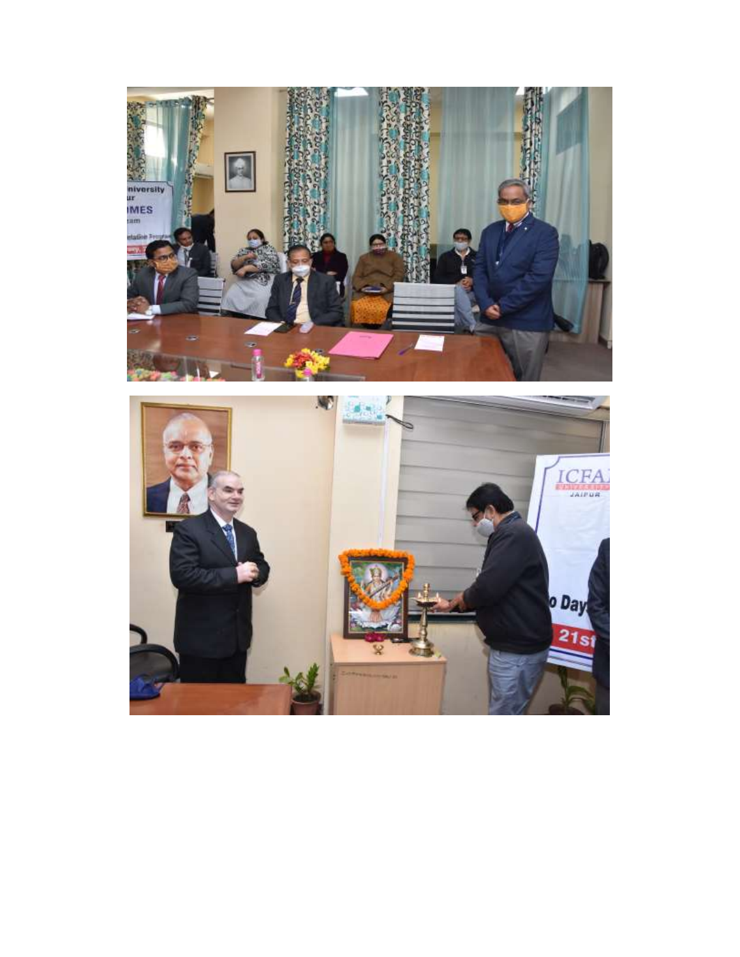